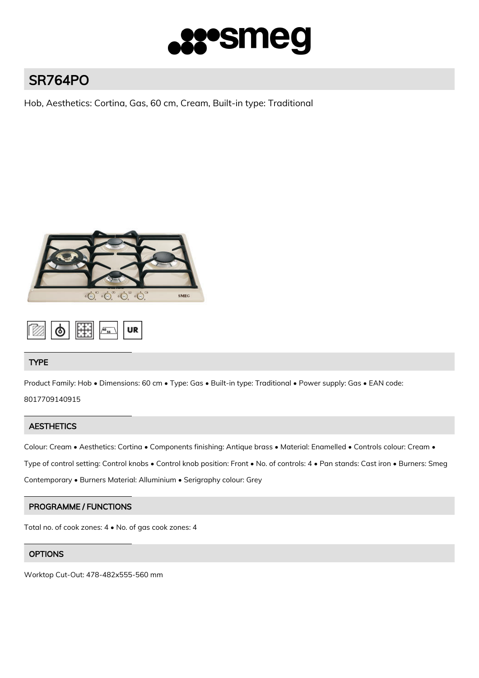

# SR764PO

Hob, Aesthetics: Cortina, Gas, 60 cm, Cream, Built-in type: Traditional



$$
\begin{array}{|c|c|c|c|}\hline \hline \text{min} & \text{min} & \text{min} & \text{min} \\\hline \text{min} & \text{min} & \text{min} & \text{min} & \text{min} \\\hline \text{min} & \text{min} & \text{min} & \text{min} & \text{min} & \text{min} & \text{min} \\\hline \text{min} & \text{min} & \text{min} & \text{min} & \text{min} & \text{min} & \text{min} & \text{min} \\\hline \text{min} & \text{min} & \text{min} & \text{min} & \text{min} & \text{min} & \text{min} & \text{min} & \text{min} \\\hline \text{min} & \text{min} & \text{min} & \text{min} & \text{min} & \text{min} & \text{min} & \text{min} & \text{min} \\\hline \text{min} & \text{min} & \text{min} & \text{min} & \text{min} & \text{min} & \text{min} & \text{min} & \text{min} \\\hline \text{min} & \text{min} & \text{min} & \text{min} & \text{min} & \text{min} & \text{min} & \text{min} & \text{min} \\\hline \text{min} & \text{min} & \text{min} & \text{min} & \text{min} & \text{min} & \text{min} & \text{min} \\\hline \text{min} & \text{min} & \text{min} & \text{min} & \text{min} & \text{min} & \text{min} & \text{min} \\\hline \text{min} & \text{min} & \text{min} & \text{min} & \text{min} & \text{min} & \text{min} & \text{min} \\\hline \text{min} & \text{min} & \text{min} & \text{min} & \text{min} & \text{min} & \text{min} \\\hline \text{min} & \text{min} & \text{min} & \text{min} & \text{min} & \text{min} \\\hline \text{min} & \text{min} & \text{min} & \text{min} & \text{min} \\\hline \text{min} & \text{min} & \text{min} & \text{min} & \text{min} \\\hline \text{min} & \text{min} & \text{min} & \text{min} \\\hline \text{min} & \text{min} & \text{min} & \text{min} \\\h
$$

# TYPE

Product Family: Hob • Dimensions: 60 cm • Type: Gas • Built-in type: Traditional • Power supply: Gas • EAN code:

8017709140915

# **AESTHETICS**

Colour: Cream • Aesthetics: Cortina • Components finishing: Antique brass • Material: Enamelled • Controls colour: Cream •

Type of control setting: Control knobs • Control knob position: Front • No. of controls: 4 • Pan stands: Cast iron • Burners: Smeg

Contemporary • Burners Material: Alluminium • Serigraphy colour: Grey

# PROGRAMME / FUNCTIONS

Total no. of cook zones: 4 • No. of gas cook zones: 4

# **OPTIONS**

Worktop Cut-Out: 478-482x555-560 mm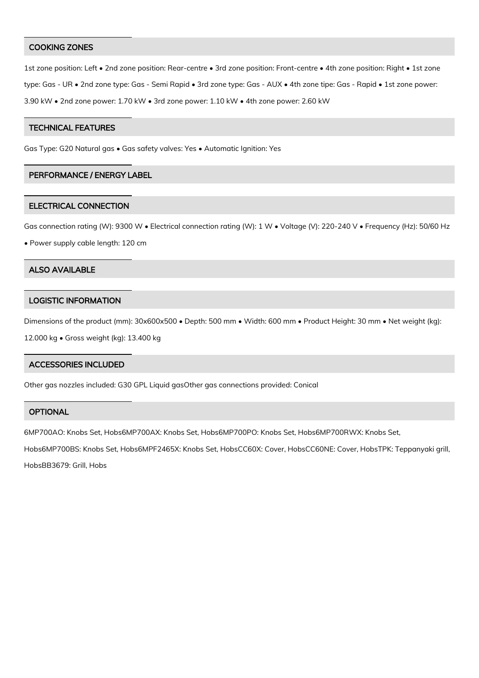## COOKING ZONES

1st zone position: Left • 2nd zone position: Rear-centre • 3rd zone position: Front-centre • 4th zone position: Right • 1st zone type: Gas - UR • 2nd zone type: Gas - Semi Rapid • 3rd zone type: Gas - AUX • 4th zone tipe: Gas - Rapid • 1st zone power: 3.90 kW • 2nd zone power: 1.70 kW • 3rd zone power: 1.10 kW • 4th zone power: 2.60 kW

## TECHNICAL FEATURES

Gas Type: G20 Natural gas • Gas safety valves: Yes • Automatic Ignition: Yes

## PERFORMANCE / ENERGY LABEL

#### ELECTRICAL CONNECTION

Gas connection rating (W): 9300 W • Electrical connection rating (W): 1 W • Voltage (V): 220-240 V • Frequency (Hz): 50/60 Hz

• Power supply cable length: 120 cm

## ALSO AVAILABLE

## LOGISTIC INFORMATION

Dimensions of the product (mm): 30x600x500 • Depth: 500 mm • Width: 600 mm • Product Height: 30 mm • Net weight (kg):

12.000 kg • Gross weight (kg): 13.400 kg

## ACCESSORIES INCLUDED

Other gas nozzles included: G30 GPL Liquid gasOther gas connections provided: Conical

# **OPTIONAL**

6MP700AO: Knobs Set, Hobs6MP700AX: Knobs Set, Hobs6MP700PO: Knobs Set, Hobs6MP700RWX: Knobs Set,

Hobs6MP700BS: Knobs Set, Hobs6MPF2465X: Knobs Set, HobsCC60X: Cover, HobsCC60NE: Cover, HobsTPK: Teppanyaki grill, HobsBB3679: Grill, Hobs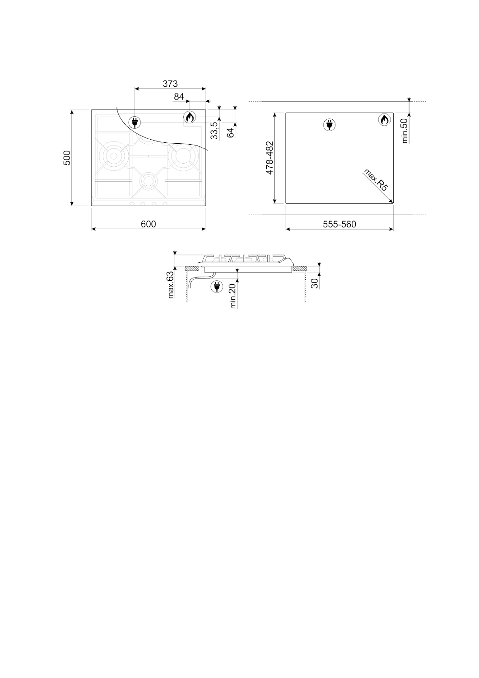